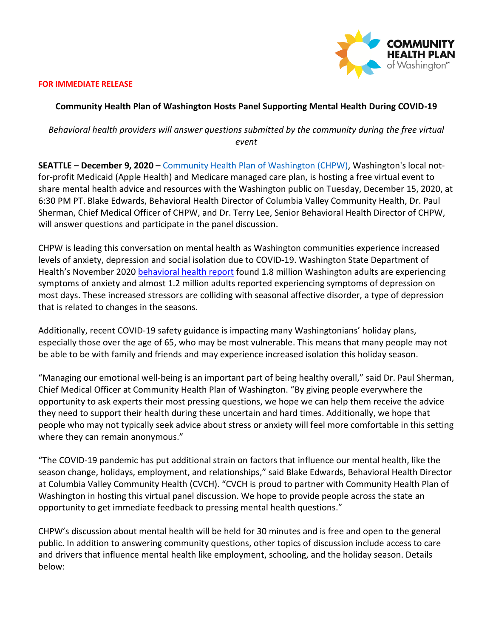

### **FOR IMMEDIATE RELEASE**

### **Community Health Plan of Washington Hosts Panel Supporting Mental Health During COVID-19**

# *Behavioral health providers will answer questions submitted by the community during the free virtual event*

**SEATTLE – December 9, 2020 –** [Community Health Plan of Washington \(CHPW\),](http://www.chpw.org/) Washington's local notfor-profit Medicaid (Apple Health) and Medicare managed care plan, is hosting a free virtual event to share mental health advice and resources with the Washington public on Tuesday, December 15, 2020, at 6:30 PM PT. Blake Edwards, Behavioral Health Director of Columbia Valley Community Health, Dr. Paul Sherman, Chief Medical Officer of CHPW, and Dr. Terry Lee, Senior Behavioral Health Director of CHPW, will answer questions and participate in the panel discussion.

CHPW is leading this conversation on mental health as Washington communities experience increased levels of anxiety, depression and social isolation due to COVID-19. Washington State Department of Health's November 2020 [behavioral health report](https://www.doh.wa.gov/Portals/1/Documents/1600/coronavirus/BHG-BehavioralHealthImpactSitRep-Week11022020.pdf) found 1.8 million Washington adults are experiencing symptoms of anxiety and almost 1.2 million adults reported experiencing symptoms of depression on most days. These increased stressors are colliding with seasonal affective disorder, a type of depression that is related to changes in the seasons.

Additionally, recent COVID-19 safety guidance is impacting many Washingtonians' holiday plans, especially those over the age of 65, who may be most vulnerable. This means that many people may not be able to be with family and friends and may experience increased isolation this holiday season.

"Managing our emotional well-being is an important part of being healthy overall," said Dr. Paul Sherman, Chief Medical Officer at Community Health Plan of Washington. "By giving people everywhere the opportunity to ask experts their most pressing questions, we hope we can help them receive the advice they need to support their health during these uncertain and hard times. Additionally, we hope that people who may not typically seek advice about stress or anxiety will feel more comfortable in this setting where they can remain anonymous."

"The COVID-19 pandemic has put additional strain on factors that influence our mental health, like the season change, holidays, employment, and relationships," said Blake Edwards, Behavioral Health Director at Columbia Valley Community Health (CVCH). "CVCH is proud to partner with Community Health Plan of Washington in hosting this virtual panel discussion. We hope to provide people across the state an opportunity to get immediate feedback to pressing mental health questions."

CHPW's discussion about mental health will be held for 30 minutes and is free and open to the general public. In addition to answering community questions, other topics of discussion include access to care and drivers that influence mental health like employment, schooling, and the holiday season. Details below: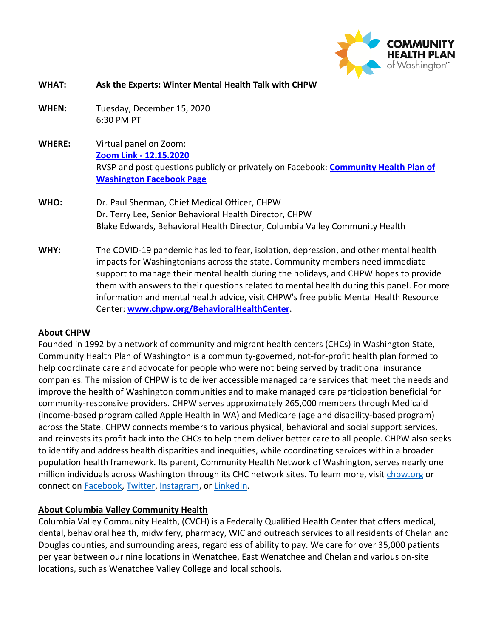

| <b>WHAT:</b>  | Ask the Experts: Winter Mental Health Talk with CHPW                                                                                                                                                                                                                                                                                                                                                                                                                                                 |
|---------------|------------------------------------------------------------------------------------------------------------------------------------------------------------------------------------------------------------------------------------------------------------------------------------------------------------------------------------------------------------------------------------------------------------------------------------------------------------------------------------------------------|
| <b>WHEN:</b>  | Tuesday, December 15, 2020<br>6:30 PM PT                                                                                                                                                                                                                                                                                                                                                                                                                                                             |
| <b>WHERE:</b> | Virtual panel on Zoom:<br>Zoom Link - 12.15.2020<br>RVSP and post questions publicly or privately on Facebook: <b>Community Health Plan of</b><br><b>Washington Facebook Page</b>                                                                                                                                                                                                                                                                                                                    |
| WHO:          | Dr. Paul Sherman, Chief Medical Officer, CHPW<br>Dr. Terry Lee, Senior Behavioral Health Director, CHPW<br>Blake Edwards, Behavioral Health Director, Columbia Valley Community Health                                                                                                                                                                                                                                                                                                               |
| WHY:          | The COVID-19 pandemic has led to fear, isolation, depression, and other mental health<br>impacts for Washingtonians across the state. Community members need immediate<br>support to manage their mental health during the holidays, and CHPW hopes to provide<br>them with answers to their questions related to mental health during this panel. For more<br>information and mental health advice, visit CHPW's free public Mental Health Resource<br>Center: www.chpw.org/BehavioralHealthCenter. |

# **About CHPW**

Founded in 1992 by a network of community and migrant health centers (CHCs) in Washington State, Community Health Plan of Washington is a community-governed, not-for-profit health plan formed to help coordinate care and advocate for people who were not being served by traditional insurance companies. The mission of CHPW is to deliver accessible managed care services that meet the needs and improve the health of Washington communities and to make managed care participation beneficial for community-responsive providers. CHPW serves approximately 265,000 members through Medicaid (income-based program called Apple Health in WA) and Medicare (age and disability-based program) across the State. CHPW connects members to various physical, behavioral and social support services, and reinvests its profit back into the CHCs to help them deliver better care to all people. CHPW also seeks to identify and address health disparities and inequities, while coordinating services within a broader population health framework. Its parent, Community Health Network of Washington, serves nearly one million individuals across Washington through its CHC network sites. To learn more, visit [chpw.org](https://www.chpw.org/) or connect on **Facebook**, [Twitter,](https://twitter.com/myCHPW) [Instagram,](https://www.instagram.com/mychpw/) or [LinkedIn.](https://www.linkedin.com/company/community-health-plan)

# **About Columbia Valley Community Health**

Columbia Valley Community Health, (CVCH) is a Federally Qualified Health Center that offers medical, dental, behavioral health, midwifery, pharmacy, WIC and outreach services to all residents of Chelan and Douglas counties, and surrounding areas, regardless of ability to pay. We care for over 35,000 patients per year between our nine locations in Wenatchee, East Wenatchee and Chelan and various on-site locations, such as Wenatchee Valley College and local schools.